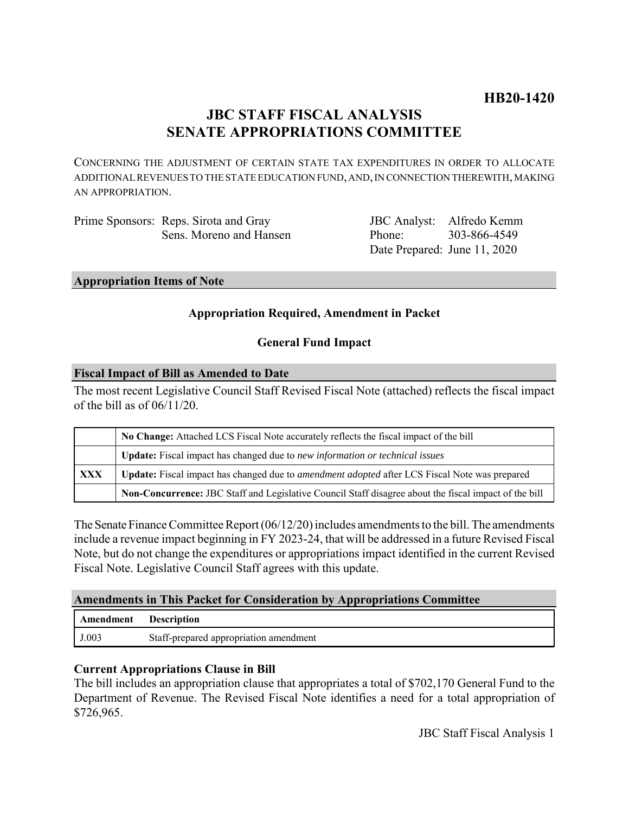# **JBC STAFF FISCAL ANALYSIS SENATE APPROPRIATIONS COMMITTEE**

CONCERNING THE ADJUSTMENT OF CERTAIN STATE TAX EXPENDITURES IN ORDER TO ALLOCATE ADDITIONAL REVENUES TO THE STATE EDUCATION FUND, AND, IN CONNECTION THEREWITH, MAKING AN APPROPRIATION.

| Prime Sponsors: Reps. Sirota and Gray |
|---------------------------------------|
| Sens. Moreno and Hansen               |

JBC Analyst: Alfredo Kemm Phone: Date Prepared: June 11, 2020 303-866-4549

#### **Appropriation Items of Note**

# **Appropriation Required, Amendment in Packet**

# **General Fund Impact**

### **Fiscal Impact of Bill as Amended to Date**

The most recent Legislative Council Staff Revised Fiscal Note (attached) reflects the fiscal impact of the bill as of  $06/11/20$ .

|            | No Change: Attached LCS Fiscal Note accurately reflects the fiscal impact of the bill                       |  |
|------------|-------------------------------------------------------------------------------------------------------------|--|
|            | <b>Update:</b> Fiscal impact has changed due to new information or technical issues                         |  |
| <b>XXX</b> | <b>Update:</b> Fiscal impact has changed due to <i>amendment adopted</i> after LCS Fiscal Note was prepared |  |
|            | Non-Concurrence: JBC Staff and Legislative Council Staff disagree about the fiscal impact of the bill       |  |

The Senate Finance Committee Report (06/12/20) includes amendments to the bill. The amendments include a revenue impact beginning in FY 2023-24, that will be addressed in a future Revised Fiscal Note, but do not change the expenditures or appropriations impact identified in the current Revised Fiscal Note. Legislative Council Staff agrees with this update.

# **Amendments in This Packet for Consideration by Appropriations Committee**

| Amendment | <b>Description</b>                     |
|-----------|----------------------------------------|
| J.003     | Staff-prepared appropriation amendment |

# **Current Appropriations Clause in Bill**

The bill includes an appropriation clause that appropriates a total of \$702,170 General Fund to the Department of Revenue. The Revised Fiscal Note identifies a need for a total appropriation of \$726,965.